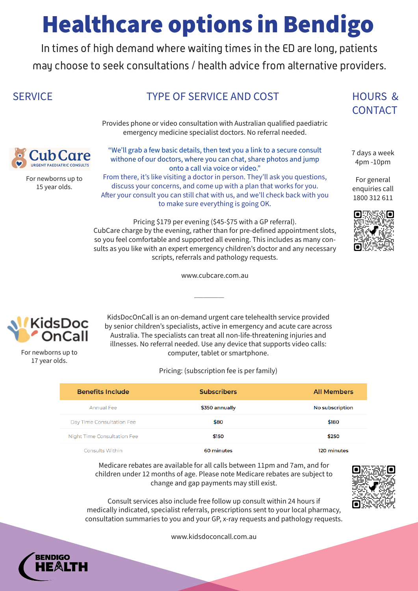In times of high demand where waiting times in the ED are long, patients may choose to seek consultations / health advice from alternative providers.

## SERVICE TYPE OF SERVICE AND COST HOURS &

CONTACT

7 days a week 4pm -10pm

For general enquiries call 1800 312 611



Consults Within

#### 60 minutes

120 minutes

KidsDocOnCall is an on-demand urgent care telehealth service provided by senior children's specialists, active in emergency and acute care across Australia. The specialists can treat all non-life-threatening injuries and illnesses. No referral needed. Use any device that supports video calls: computer, tablet or smartphone.

Pricing: (subscription fee is per family)

| <b>Benefits Include</b>            | <b>Subscribers</b> | <b>All Members</b> |
|------------------------------------|--------------------|--------------------|
| Annual Fee                         | \$350 annually     | No subscription    |
| Day Time Consultation Fee          | \$80               | \$180              |
| <b>Night Time Consultation Fee</b> | \$150              | \$250              |

Medicare rebates are available for all calls between 11pm and 7am, and for children under 12 months of age. Please note Medicare rebates are subject to change and gap payments may still exist.



www.kidsdoconcall.com.au





Provides phone or video consultation with Australian qualified paediatric emergency medicine specialist doctors. No referral needed.



"We'll grab a few basic details, then text you a link to a secure consult withone of our doctors, where you can chat, share photos and jump onto a call via voice or video."

From there, it's like visiting a doctor in person. They'll ask you questions, discuss your concerns, and come up with a plan that works for you. After your consult you can still chat with us, and we'll check back with you to make sure everything is going OK.

Pricing \$179 per evening (\$45-\$75 with a GP referral). CubCare charge by the evening, rather than for pre-defined appointment slots, so you feel comfortable and supported all evening. This includes as many consults as you like with an expert emergency children's doctor and any necessary scripts, referrals and pathology requests.

www.cubcare.com.au

 $\overline{\phantom{a}}$ 



For newborns up to 15 year olds.

For newborns up to 17 year olds.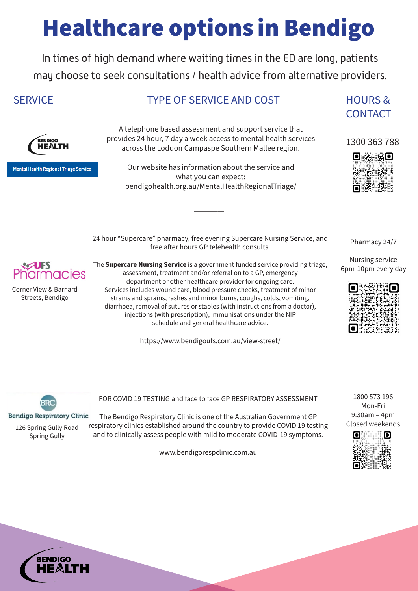A telephone based assessment and support service that provides 24 hour, 7 day a week access to mental health services across the Loddon Campaspe Southern Mallee region.

Our website has information about the service and what you can expect: bendigohealth.org.au/MentalHealthRegionalTriage/

 $\overline{\phantom{a}}$  , where  $\overline{\phantom{a}}$ 

CONTACT

1300 363 788



Corner View & Barnard Streets, Bendigo

24 hour "Supercare" pharmacy, free evening Supercare Nursing Service, and free after hours GP telehealth consults.



The **Supercare Nursing Service** is a government funded service providing triage, assessment, treatment and/or referral on to a GP, emergency department or other healthcare provider for ongoing care. Services includes wound care, blood pressure checks, treatment of minor strains and sprains, rashes and minor burns, coughs, colds, vomiting, diarrhoea, removal of sutures or staples (with instructions from a doctor), injections (with prescription), immunisations under the NIP schedule and general healthcare advice.

https://www.bendigoufs.com.au/view-street/

 $\overline{\phantom{a}}$  , where  $\overline{\phantom{a}}$ 

Pharmacy 24/7

Nursing service 6pm-10pm every day





**Bendigo Respiratory Clinic** 

# Healthcare options in Bendigo

In times of high demand where waiting times in the ED are long, patients may choose to seek consultations / health advice from alternative providers.

## SERVICE TYPE OF SERVICE AND COST HOURS &

.<br>RENDIGO HE&LTH

**Mental Health Regional Triage Service** 

FOR COVID 19 TESTING and face to face GP RESPIRATORY ASSESSMENT

The Bendigo Respiratory Clinic is one of the Australian Government GP respiratory clinics established around the country to provide COVID 19 testing and to clinically assess people with mild to moderate COVID-19 symptoms.

www.bendigorespclinic.com.au



126 Spring Gully Road Spring Gully

1800 573 196 Mon-Fri 9:30am – 4pm Closed weekends

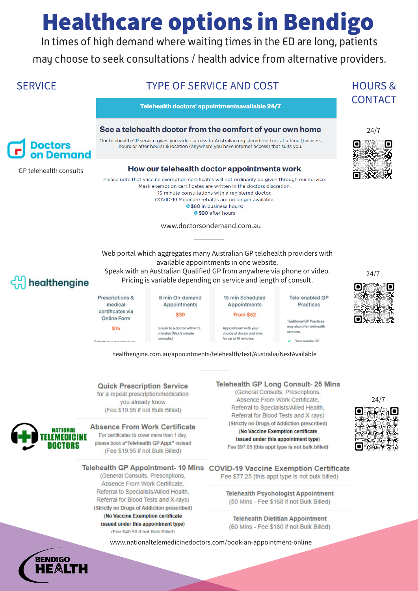In times of high demand where waiting times in the ED are long, patients may choose to seek consultations / health advice from alternative providers.

**SERVICE** 

## **TYPE OF SERVICE AND COST**

Telehealth doctors' appointmentsavailable 24/7

### See a telehealth doctor from the comfort of your own home



GP telehealth consults

Our telehealth GP service gives you video access to Australian registered doctors at a time (business hours or after hours) & location (anywhere you have internet access) that suits you.

### How our telehealth doctor appointments work

Please note that vaccine exemption certificates will not ordinarily be given through our service. Mask exemption certificates are written in the doctors discretion. 15 minute consultations with a registered doctor. COVID-19 Medicare rebates are no longer available. **0 \$60** in business hours; **9 \$90 after hours** 

www.doctorsondemand.com.au



**HOURS &** 

**CONTACT** 

Web portal which aggregates many Australian GP telehealth providers with available appointments in one website. Speak with an Australian Qualified GP from anywhere via phone or video. Pricing is variable depending on service and length of consult.

## healthengine

Prescriptions & medical certificates via **Online Form** 

\$15

\$39 Speak to a doctor within 15 minutes (Max 8 minute consults).

8 min On-demand

Appointments

15 min Scheduled Appointments

Tele-enabled GP Practices

**Traditional GP Practices** may also offer telehealth

services.  $\vee$  Your requier GP



 $24/7$ 

healthengine.com.au/appointments/telehealth/text/Australia/NextAvailable

### **Quick Prescription Service**

for a repeat prescription/medication you already know (Fee \$19.95 if not Bulk Billed)

#### **Absence From Work Certificate**

For certificates to cover more than 1 day, please book a"Telehealth GP Appt" instead

### **Telehealth GP Long Consult-25 Mins**

(General Consults, Prescriptions, Absence From Work Certificate, Referral to Specialists/Allied Health, Referral for Blood Tests and X-rays) (Strictly no Drugs of Addiction prescribed) (No Vaccine Exemption certificate issued under this appointment type)



Appointment with your

for up to 15 minutes.

choice of doctor and time

From \$52



(Fee \$19.95 if not Bulk Billed)



Telehealth GP Appointment- 10 Mins COVID-19 Vaccine Exemption Certificate

(General Consults, Prescriptions, Absence From Work Certificate, Referral to Specialists/Allied Health, Referral for Blood Tests and X-rays) (Strictly no Drugs of Addiction prescribed) (No Vaccine Exemption certificate issued under this appointment type) (Fee \$40.50 if not Bulk Billed)

Fee \$77.25 (this appt type is not bulk billed)

**Telehealth Psychologist Appointment** (50 Mins - Fee \$168 if not Bulk Billed)

**Telehealth Dietitian Appointment** (60 Mins - Fee \$180 if not Bulk Billed)

www.nationaltelemedicinedoctors.com/book-an-appointment-online

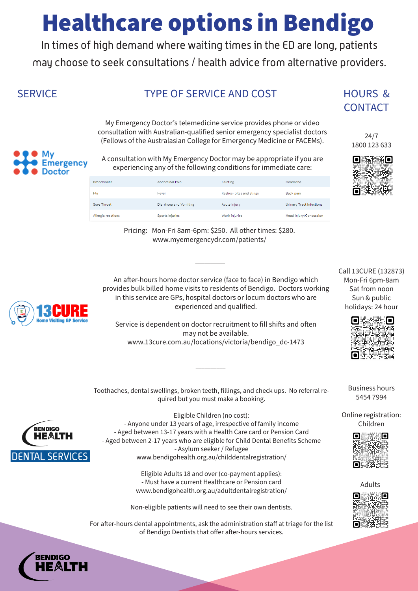In times of high demand where waiting times in the ED are long, patients may choose to seek consultations / health advice from alternative providers.

## SERVICE TYPE OF SERVICE AND COST HOURS &

CONTACT

24/7 1800 123 633



| بتبته |
|-------|
|       |

| <b>Bronchiolitis</b> | Abdominal Pain         | <b>Fainting</b>          | Headache                 |
|----------------------|------------------------|--------------------------|--------------------------|
| Flu                  | Fever                  | Rashes, bites and stings | Back pain                |
| Sore Throat          | Diarrhoea and Vomiting | Acute Injury             | Urinary Tract Infections |
| Allergic reactions   | Sports injuries        | Work injuries            | Head Injury/Concussion   |

An after-hours home doctor service (face to face) in Bendigo which provides bulk billed home visits to residents of Bendigo. Doctors working in this service are GPs, hospital doctors or locum doctors who are experienced and qualified.

Service is dependent on doctor recruitment to fill shifts and often may not be available. www.13cure.com.au/locations/victoria/bendigo\_dc-1473

Call 13CURE (132873) Mon-Fri 6pm-8am Sat from noon Sun & public holidays: 24 hour



Business hours 5454 7994

Online registration: Children



Pricing: Mon-Fri 8am-6pm: \$250. All other times: \$280. www.myemergencydr.com/patients/

 $\overline{\phantom{a}}$  , where  $\overline{\phantom{a}}$ 



Toothaches, dental swellings, broken teeth, fillings, and check ups. No referral re-

 $\overline{\phantom{a}}$ 

**DENTAL SERVICES** 



nergency

quired but you must make a booking. Eligible Children (no cost): - Anyone under 13 years of age, irrespective of family income - Aged between 13-17 years with a Health Care card or Pension Card

- Aged between 2-17 years who are eligible for Child Dental Benefits Scheme

- Asylum seeker / Refugee www.bendigohealth.org.au/childdentalregistration/

Eligible Adults 18 and over (co-payment applies): - Must have a current Healthcare or Pension card www.bendigohealth.org.au/adultdentalregistration/

Non-eligible patients will need to see their own dentists.

For after-hours dental appointments, ask the administration staff at triage for the list of Bendigo Dentists that offer after-hours services.



My Emergency Doctor's telemedicine service provides phone or video consultation with Australian-qualified senior emergency specialist doctors (Fellows of the Australasian College for Emergency Medicine or FACEMs).

A consultation with My Emergency Doctor may be appropriate if you are experiencing any of the following conditions for immediate care:

Adults